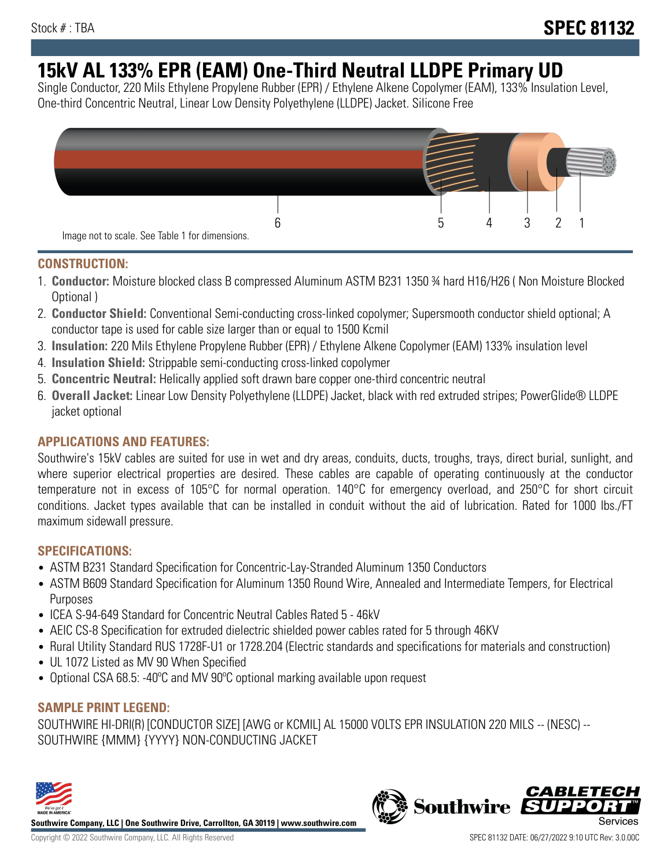# **15kV AL 133% EPR (EAM) One-Third Neutral LLDPE Primary UD**

Single Conductor, 220 Mils Ethylene Propylene Rubber (EPR) / Ethylene Alkene Copolymer (EAM), 133% Insulation Level, One-third Concentric Neutral, Linear Low Density Polyethylene (LLDPE) Jacket. Silicone Free



## **CONSTRUCTION:**

- 1. **Conductor:** Moisture blocked class B compressed Aluminum ASTM B231 1350 ¾ hard H16/H26 ( Non Moisture Blocked Optional )
- 2. **Conductor Shield:** Conventional Semi-conducting cross-linked copolymer; Supersmooth conductor shield optional; A conductor tape is used for cable size larger than or equal to 1500 Kcmil
- 3. **Insulation:** 220 Mils Ethylene Propylene Rubber (EPR) / Ethylene Alkene Copolymer (EAM) 133% insulation level
- 4. **Insulation Shield:** Strippable semi-conducting cross-linked copolymer
- 5. **Concentric Neutral:** Helically applied soft drawn bare copper one-third concentric neutral
- 6. **Overall Jacket:** Linear Low Density Polyethylene (LLDPE) Jacket, black with red extruded stripes; PowerGlide® LLDPE jacket optional

# **APPLICATIONS AND FEATURES:**

Southwire's 15kV cables are suited for use in wet and dry areas, conduits, ducts, troughs, trays, direct burial, sunlight, and where superior electrical properties are desired. These cables are capable of operating continuously at the conductor temperature not in excess of 105°C for normal operation. 140°C for emergency overload, and 250°C for short circuit conditions. Jacket types available that can be installed in conduit without the aid of lubrication. Rated for 1000 lbs./FT maximum sidewall pressure.

## **SPECIFICATIONS:**

- ASTM B231 Standard Specification for Concentric-Lay-Stranded Aluminum 1350 Conductors
- ASTM B609 Standard Specification for Aluminum 1350 Round Wire, Annealed and Intermediate Tempers, for Electrical Purposes
- ICEA S-94-649 Standard for Concentric Neutral Cables Rated 5 46kV
- AEIC CS-8 Specification for extruded dielectric shielded power cables rated for 5 through 46KV
- Rural Utility Standard RUS 1728F-U1 or 1728.204 (Electric standards and specifications for materials and construction)
- UL 1072 Listed as MV 90 When Specified
- Optional CSA 68.5: -40°C and MV 90°C optional marking available upon request

## **SAMPLE PRINT LEGEND:**

SOUTHWIRE HI-DRI(R) [CONDUCTOR SIZE] [AWG or KCMIL] AL 15000 VOLTS EPR INSULATION 220 MILS -- (NESC) -- SOUTHWIRE {MMM} {YYYY} NON-CONDUCTING JACKET



**Southwire Company, LLC | One Southwire Drive, Carrollton, GA 30119 | www.southwire.com**